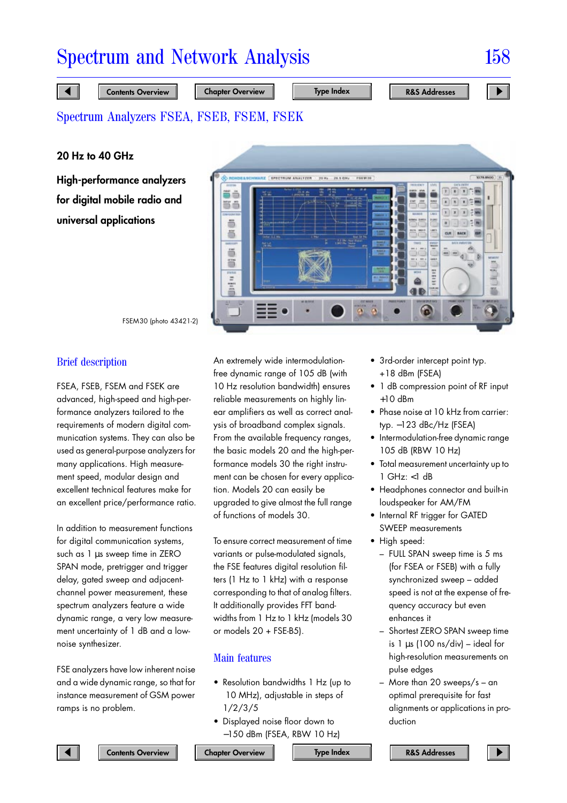**20 Hz to 40 GHz**

**High-performance analyzers for digital mobile radio and universal applications**



FSEM30 (photo 43421-2)

## Brief description

FSEA, FSEB, FSEM and FSEK are advanced, high-speed and high-performance analyzers tailored to the requirements of modern digital communication systems. They can also be used as general-purpose analyzers for many applications. High measurement speed, modular design and excellent technical features make for an excellent price/performance ratio.

In addition to measurement functions for digital communication systems, such as 1 µs sweep time in ZERO SPAN mode, pretrigger and trigger delay, gated sweep and adjacentchannel power measurement, these spectrum analyzers feature a wide dynamic range, a very low measurement uncertainty of 1 dB and a lownoise synthesizer.

FSE analyzers have low inherent noise and a wide dynamic range, so that for instance measurement of GSM power ramps is no problem.

An extremely wide intermodulationfree dynamic range of 105 dB (with 10 Hz resolution bandwidth) ensures reliable measurements on highly linear amplifiers as well as correct analysis of broadband complex signals. From the available frequency ranges, the basic models 20 and the high-performance models 30 the right instrument can be chosen for every application. Models 20 can easily be upgraded to give almost the full range of functions of models 30.

To ensure correct measurement of time variants or pulse-modulated signals, the FSE features digital resolution filters (1 Hz to 1 kHz) with a response corresponding to that of analog filters. It additionally provides FFT bandwidths from 1 Hz to 1 kHz (models 30 or models  $20 + FSE-B5$ ).

## Main features

- Resolution bandwidths 1 Hz (up to 10 MHz), adjustable in steps of 1/2/3/5
- Displayed noise floor down to −150 dBm (FSEA, RBW 10 Hz)
- 3rd-order intercept point typ. +18 dBm (FSEA)
- 1 dB compression point of RF input  $+10$  dBm
- Phase noise at 10 kHz from carrier: typ. −123 dBc/Hz (FSEA)
- Intermodulation-free dynamic range 105 dB (RBW 10 Hz)
- Total measurement uncertainty up to 1 GHz: <1 dB
- Headphones connector and built-in loudspeaker for AM/FM
- Internal RF trigger for GATED SWEEP measurements
- High speed:
	- FULL SPAN sweep time is 5 ms (for FSEA or FSEB) with a fully synchronized sweep – added speed is not at the expense of frequency accuracy but even enhances it
	- Shortest ZERO SPAN sweep time is  $1 \mu s$  (100 ns/div) – ideal for high-resolution measurements on pulse edges
	- More than 20 sweeps/s an optimal prerequisite for fast alignments or applications in production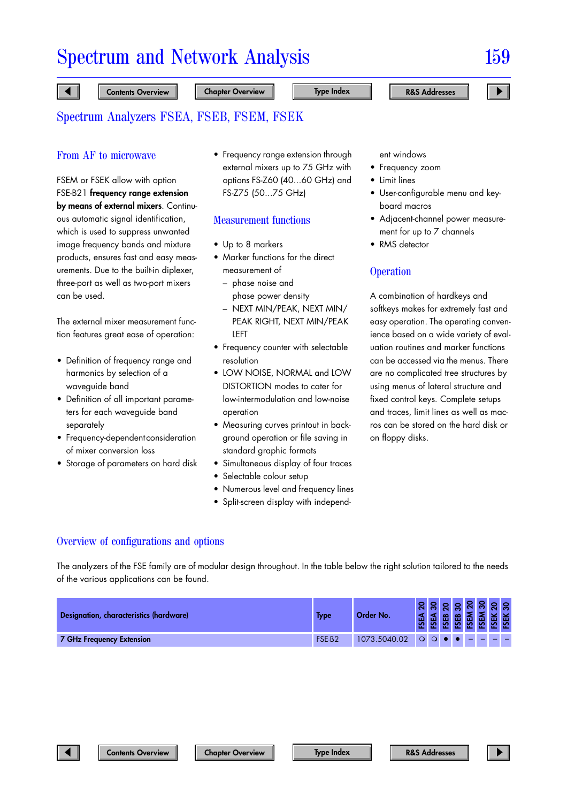## From AF to microwave

## FSEM or FSEK allow with option FSE-B21 **frequency range extension by means of external mixers**. Continuous automatic signal identification, which is used to suppress unwanted image frequency bands and mixture products, ensures fast and easy measurements. Due to the built-in diplexer, three-port as well as two-port mixers can be used.

The external mixer measurement function features great ease of operation:

- Definition of frequency range and harmonics by selection of a waveguide band
- Definition of all important parameters for each waveguide band separately
- Frequency-dependent consideration of mixer conversion loss
- Storage of parameters on hard disk

• Frequency range extension through external mixers up to 75 GHz with options FS-Z60 (40...60 GHz) and FS-Z75 (50...75 GHz)

#### Measurement functions

- Up to 8 markers
- Marker functions for the direct measurement of
	- phase noise and phase power density
	- NEXT MIN/PEAK, NEXT MIN/ PEAK RIGHT, NEXT MIN/PEAK LEFT
- Frequency counter with selectable resolution
- LOW NOISE, NORMAL and LOW DISTORTION modes to cater for low-intermodulation and low-noise operation
- Measuring curves printout in background operation or file saving in standard graphic formats
- Simultaneous display of four traces
- Selectable colour setup
- Numerous level and frequency lines
- Split-screen display with independ-

ent windows

- Frequency zoom
- Limit lines
- User-configurable menu and keyboard macros
- Adjacent-channel power measurement for up to 7 channels
- RMS detector

## **Operation**

A combination of hardkeys and softkeys makes for extremely fast and easy operation. The operating convenience based on a wide variety of evaluation routines and marker functions can be accessed via the menus. There are no complicated tree structures by using menus of lateral structure and fixed control keys. Complete setups and traces, limit lines as well as macros can be stored on the hard disk or on floppy disks.

## Overview of configurations and options

The analyzers of the FSE family are of modular design throughout. In the table below the right solution tailored to the needs of the various applications can be found.

| <b>Designation, characteristics (hardware)</b> | Type   | Order No.    |  |  |  |  |
|------------------------------------------------|--------|--------------|--|--|--|--|
| <b>7 GHz Frequency Extension</b>               | FSE-B2 | 1073.5040.02 |  |  |  |  |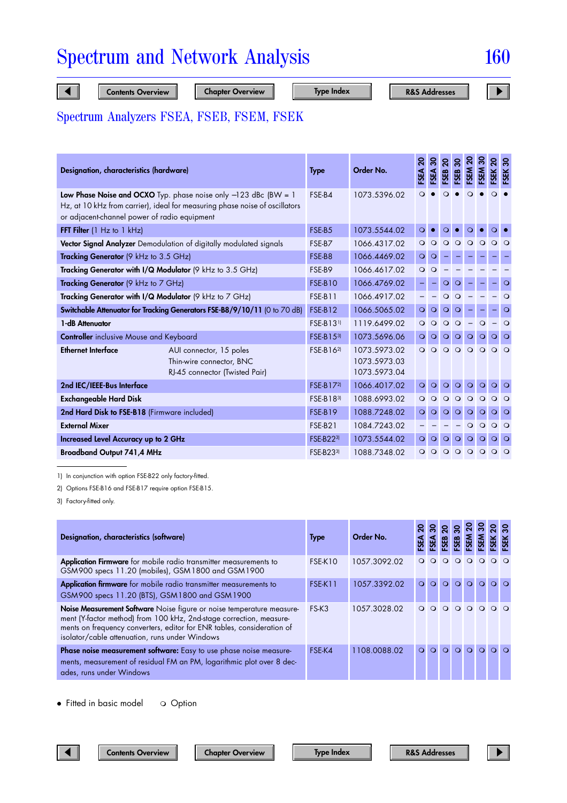| Designation, characteristics (hardware)                                   |                                                                                                                                                  | <b>Type</b>           | Order No.                                    | <b>A3S</b> | FSEA     | <b>SEB</b> | <b>GBS:</b> | <b>N3S:</b> | <b>SEM</b> | ຸລ<br><b>FSEK</b> | $\boldsymbol{50}$<br><b>FSEK</b> |
|---------------------------------------------------------------------------|--------------------------------------------------------------------------------------------------------------------------------------------------|-----------------------|----------------------------------------------|------------|----------|------------|-------------|-------------|------------|-------------------|----------------------------------|
| or adjacent-channel power of radio equipment                              | Low Phase Noise and OCXO Typ. phase noise only $-123$ dBc (BW = 1<br>Hz, at 10 kHz from carrier), ideal for measuring phase noise of oscillators | FSE-B4                | 1073.5396.02                                 | Q          |          |            |             |             |            | $\Omega$          |                                  |
| FFT Filter (1 Hz to 1 kHz)                                                |                                                                                                                                                  | FSE-B5                | 1073.5544.02                                 | $\circ$    |          | О          |             |             |            |                   |                                  |
| Vector Signal Analyzer Demodulation of digitally modulated signals        |                                                                                                                                                  |                       | 1066.4317.02                                 | $\Omega$   | $\Omega$ | $\Omega$   | $\Omega$    | $\Omega$    | $\circ$    | $\circ$ $\circ$   |                                  |
| Tracking Generator (9 kHz to 3.5 GHz)                                     |                                                                                                                                                  | FSE-B8                | 1066.4469.02                                 | $\circ$    | $\circ$  |            |             |             |            |                   |                                  |
| Tracking Generator with I/Q Modulator (9 kHz to 3.5 GHz)                  |                                                                                                                                                  |                       | 1066.4617.02                                 | $\circ$    | $\Omega$ |            |             |             |            |                   |                                  |
| <b>Tracking Generator</b> (9 kHz to $7$ GHz)                              |                                                                                                                                                  |                       | 1066.4769.02                                 |            |          | O          | О           |             |            |                   | $\circ$                          |
| Tracking Generator with I/Q Modulator (9 kHz to 7 GHz)                    |                                                                                                                                                  |                       | 1066.4917.02                                 |            |          | O          | Ω           |             |            |                   | O                                |
| Switchable Attenuator for Tracking Generators FSE-B8/9/10/11 (0 to 70 dB) |                                                                                                                                                  |                       | 1066.5065.02                                 | $\circ$    | $\circ$  | $\circ$    | O           |             |            |                   | $\circ$                          |
| 1-dB Attenuator                                                           | FSE-B131)                                                                                                                                        | 1119.6499.02          | $\circ$                                      | $\circ$    | $\circ$  | $\circ$    |             | $\circ$     |            | $\circ$           |                                  |
| <b>Controller</b> inclusive Mouse and Keyboard                            | FSE-B153                                                                                                                                         | 1073.5696.06          | $\circ$                                      | $\circ$    | $\circ$  | $\circ$    | $\circ$     | $\circ$     | $\circ$    | $\circ$           |                                  |
| <b>Ethernet Interface</b>                                                 | AUI connector, 15 poles<br>Thin-wire connector, BNC<br>RJ-45 connector (Twisted Pair)                                                            | FSE-B16 <sup>2)</sup> | 1073.5973.02<br>1073.5973.03<br>1073.5973.04 | $\circ$    | $\circ$  | $\circ$    | $\circ$     | $\circ$     | $\circ$    | $\circ$ $\circ$   |                                  |
| 2nd IEC/IEEE-Bus Interface                                                |                                                                                                                                                  | FSE-B172              | 1066.4017.02                                 | $\circ$    | $\circ$  | $\circ$    | $\circ$     | $\circ$     | $\circ$    | $\circ$           | $\circ$                          |
| <b>Exchangeable Hard Disk</b>                                             |                                                                                                                                                  | FSE-B183              | 1088.6993.02                                 | O          | Q        | $\Omega$   | $\circ$     | $\circ$     | $\circ$    | $\circ$           | $\circ$                          |
| 2nd Hard Disk to FSE-B18 (Firmware included)                              | <b>FSE-B19</b>                                                                                                                                   | 1088.7248.02          | $\circ$                                      | $\circ$    | $\circ$  | $\circ$    | $\circ$     | O           | $\circ$    | $\circ$           |                                  |
| <b>External Mixer</b>                                                     | <b>FSE-B21</b>                                                                                                                                   | 1084.7243.02          |                                              |            |          |            | $\circ$     | $\circ$     | $\circ$    | $\circ$           |                                  |
| <b>Increased Level Accuracy up to 2 GHz</b>                               | FSE-B223)                                                                                                                                        | 1073.5544.02          | $\circ$                                      | $\circ$    | $\circ$  | $\circ$    | $\circ$     | $\circ$     | $\circ$    | $\circ$           |                                  |
| <b>Broadband Output 741,4 MHz</b>                                         |                                                                                                                                                  |                       | 1088.7348.02                                 | $\circ$    | $\circ$  | $\circ$    | $\circ$     | $\circ$     | $\circ$    | $\circ$           | $\circ$                          |

1) In conjunction with option FSE-B22 only factory-fitted.

2) Options FSE-B16 and FSE-B17 require option FSE-B15.

3) Factory-fitted only.

| Designation, characteristics (software)                                                                                                                                                                                                                                  | <b>Type</b>    | Order No.    |                               |         |         |          |          |                   |     |
|--------------------------------------------------------------------------------------------------------------------------------------------------------------------------------------------------------------------------------------------------------------------------|----------------|--------------|-------------------------------|---------|---------|----------|----------|-------------------|-----|
| Application Firmware for mobile radio transmitter measurements to<br>GSM900 specs 11.20 (mobiles), GSM1800 and GSM1900                                                                                                                                                   | FSE-K10        | 1057.3092.02 |                               |         |         |          |          | $\Omega$          | - റ |
| Application firmware for mobile radio transmitter measurements to<br>GSM900 specs 11.20 (BTS), GSM1800 and GSM1900                                                                                                                                                       | <b>FSE-K11</b> | 1057.3392.02 |                               |         |         |          | $\Omega$ | $\Omega$ $\Omega$ |     |
| Noise Measurement Software Noise figure or noise temperature measure-<br>ment (Y-factor method) from 100 kHz, 2nd-stage correction, measure-<br>ments on frequency converters, editor for ENR tables, consideration of<br>isolator/cable attenuation, runs under Windows | $FS-K3$        | 1057.3028.02 | $\overline{Q}$ $\overline{Q}$ | $\circ$ | $\circ$ | $\Omega$ | $\circ$  | $\circ$ $\circ$   |     |
| Phase noise measurement software: Easy to use phase noise measure-<br>ments, measurement of residual FM an PM, logarithmic plot over 8 dec-<br>ades, runs under Windows                                                                                                  | FSE-K4         | 1108.0088.02 | $\circ$ $\circ$               |         | QQQ     |          | $\Omega$ | $\Omega$ $\Omega$ |     |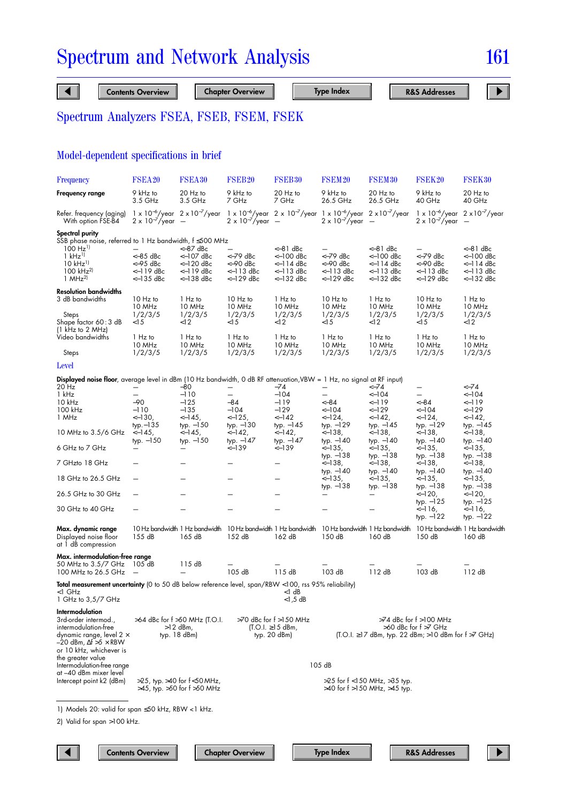# Model-dependent specifications in brief

| <b>Frequency</b>                                                                                                                                                                            | FSEA20                                           | <b>FSEA30</b>                                                                                                                                         | FSEB <sub>20</sub>                                    | FSEB <sub>30</sub>                                                   | FSEM <sub>20</sub>                               | FSEM <sub>30</sub>                                                      | FSEK20                                                                                                          | FSEK30                                                       |
|---------------------------------------------------------------------------------------------------------------------------------------------------------------------------------------------|--------------------------------------------------|-------------------------------------------------------------------------------------------------------------------------------------------------------|-------------------------------------------------------|----------------------------------------------------------------------|--------------------------------------------------|-------------------------------------------------------------------------|-----------------------------------------------------------------------------------------------------------------|--------------------------------------------------------------|
| Frequency range                                                                                                                                                                             | 9 kHz to<br>3.5 GHz                              | 20 Hz to<br>3.5 GHz                                                                                                                                   | 9 kHz to<br>7 GHz                                     | 20 Hz to<br>7 GHz                                                    | 9 kHz to<br>26.5 GHz                             | 20 Hz to<br>26.5 GHz                                                    | 9 kHz to<br>40 GHz                                                                                              | 20 Hz to<br>40 GHz                                           |
| Refer. frequency (aging)<br>With option FSE-B4                                                                                                                                              | $2 \times 10^{-7}$ /year -                       | $1 \times 10^{-6}$ /year $2 \times 10^{-7}$ /year $1 \times 10^{-6}$ /year $2 \times 10^{-7}$ /year $1 \times 10^{-6}$ /year $2 \times 10^{-7}$ /year | $2 \times 10^{-7}$ /year -                            |                                                                      | $2 \times 10^{-7}$ /year -                       |                                                                         | $1 \times 10^{-6}$ /year $2 \times 10^{-7}$ /year<br>$2 \times 10^{-7}$ /year                                   | $\overline{\phantom{0}}$                                     |
| Spectral purity<br>SSB phase noise, referred to 1 Hz bandwidth, f ≤500 MHz<br>$100$ Hz <sup>1</sup><br>$1$ kHz <sup>1</sup><br>$10$ kHz <sup>1</sup><br>$100$ kHz <sup>2)</sup><br>1 $MHz2$ | $<-85$ dBc<br><-95 dBc<br><-119 dBc<br><-135 dBc | <–87 dBc<br>$<-107$ dBc<br><-120 dBc<br><-119 dBc<br>$<-138$ dBc                                                                                      | <-79 dBc<br><-90 dBc<br>$<-113$ dBc<br><-129 dBc      | $<-81$ dBc<br><–100 dBc<br><–114 dBc<br><-113 dBc<br><–132 dBc       | <-79 dBc<br><-90 dBc<br><-113 dBc<br><-129 dBc   | <-81 dBc<br><–100 dBc<br><–114 dBc<br><–113 dBc<br><–132 dBc            | <-79 dBc<br><-90 dBc<br>$<-113$ dBc<br><-129 dBc                                                                | <-81 dBc<br><-100 dBc<br><–114 dBc<br><-113 dBc<br><-132 dBc |
| Resolution bandwidths<br>3 dB bandwidths<br>Steps<br>Shape factor 60 : 3 dB                                                                                                                 | 10 Hz to<br>10 MHz<br>1/2/3/5<br>$<$ 15          | 1 Hz to<br>10 MHz<br>1/2/3/5<br>< 12                                                                                                                  | 10 Hz to<br>10 MHz<br>1/2/3/5<br>$<$ 15               | 1 Hz to<br>10 MHz<br>1/2/3/5<br><12                                  | 10 Hz to<br>10 MHz<br>1/2/3/5<br>$<$ 15          | 1 Hz to<br>10 MHz<br>1/2/3/5<br><12                                     | 10 Hz to<br>10 MHz<br>1/2/3/5<br>$<$ 15                                                                         | 1 Hz to<br>10 MHz<br>1/2/3/5<br><12                          |
| (1 kHz to 2 MHz)<br>Video bandwidths<br>Steps                                                                                                                                               | 1 Hz to<br>10 MHz<br>1/2/3/5                     | 1 Hz to<br>10 MHz<br>1/2/3/5                                                                                                                          | 1 Hz to<br>10 MHz<br>1/2/3/5                          | 1 Hz to<br>10 MHz<br>1/2/3/5                                         | 1 Hz to<br>10 MHz<br>1/2/3/5                     | 1 Hz to<br>10 MHz<br>1/2/3/5                                            | 1 Hz to<br>10 MHz<br>1/2/3/5                                                                                    | 1 Hz to<br>10 MHz<br>1/2/3/5                                 |
| Level                                                                                                                                                                                       |                                                  |                                                                                                                                                       |                                                       |                                                                      |                                                  |                                                                         |                                                                                                                 |                                                              |
| <b>Displayed noise floor</b> , average level in dBm (10 Hz bandwidth, 0 dB RF attenuation,VBW = 1 Hz, no signal at RF input)<br>20 Hz                                                       |                                                  | -80                                                                                                                                                   | —                                                     | -74                                                                  | —                                                | <−74                                                                    |                                                                                                                 | <−74                                                         |
| 1 kHz<br>10 kHz<br>100 kHz<br>1 MHz                                                                                                                                                         | -90<br>$-110$<br><–130,                          | $-110$<br>$-125$<br>$-135$<br>$<-145$ ,                                                                                                               | $\overline{\phantom{0}}$<br>-84<br>$-104$<br>$<-125,$ | $-104$<br>-119<br>$-129$<br><-142                                    | —<br><−84<br><–104<br><-124,                     | <–104<br><-119<br><–129<br><–142,                                       | —<br><−84<br><–104<br><-124,                                                                                    | <–104<br><-119<br><–129<br><–142,                            |
| 10 MHz to 3.5/6 GHz<br>6 GHz to 7 GHz                                                                                                                                                       | $typ - 135$<br>$<-145,$<br>typ. -150             | $typ. -150$<br>$<-145,$<br>$typ. -150$                                                                                                                | typ. $-130$<br><-142,<br>typ. $-147$<br>$<-139$       | typ. $-145$<br><–142,<br>typ. $-147$<br><–139                        | $typ. -129$<br><–138,<br>$typ. -140$<br>$<-135,$ | typ. $-145$<br><–138,<br>typ. $-140$<br><–135,                          | $typ. -129$<br><–138,<br>$typ. -140$<br>$<-135,$                                                                | typ. -145<br><–138,<br>$typ. -140$<br><–135,                 |
| 7 GHzto 18 GHz                                                                                                                                                                              |                                                  |                                                                                                                                                       |                                                       |                                                                      | $typ. -138$<br><–138,                            | typ. -138<br><–138,                                                     | $typ. -138$<br><–138,                                                                                           | $typ. -138$<br><–138,                                        |
| 18 GHz to 26.5 GHz                                                                                                                                                                          |                                                  |                                                                                                                                                       |                                                       |                                                                      | $typ. -140$<br><–135,<br>$typ. -138$             | $typ. -140$<br><–135,<br>typ. -138                                      | $typ. -140$<br><–135,<br>$typ. -138$                                                                            | $typ. -140$<br><–135,<br>$typ. -138$                         |
| 26.5 GHz to 30 GHz                                                                                                                                                                          |                                                  |                                                                                                                                                       |                                                       |                                                                      |                                                  |                                                                         | <-120,<br>typ. -125                                                                                             | <–120,<br>$typ. -125$                                        |
| 30 GHz to 40 GHz                                                                                                                                                                            |                                                  |                                                                                                                                                       |                                                       |                                                                      |                                                  |                                                                         | <–116,<br>$typ. -122$                                                                                           | <–116,<br>typ. –122                                          |
| Max. dynamic range<br>Displayed noise floor<br>at 1 dB compression                                                                                                                          | 155 dB                                           | 10 Hz bandwidth 1 Hz bandwidth 10 Hz bandwidth 1 Hz bandwidth 10 Hz bandwidth 1 Hz bandwidth<br>165 dB                                                | 152 dB                                                | 162 dB                                                               | 150 dB                                           | 160 dB                                                                  | 10 Hz bandwidth 1 Hz bandwidth<br>150 dB                                                                        | 160 dB                                                       |
| Max. intermodulation-free range<br>50 MHz to 3.5/7 GHz 105 dB<br>100 MHz to 26.5 GHz                                                                                                        | $\overline{\phantom{0}}$                         | 115dB                                                                                                                                                 | 105 dB                                                | 115dB                                                                | 103 dB                                           | 112dB                                                                   | 103 dB                                                                                                          | 112dB                                                        |
| <b>Total measurement uncertainty</b> (0 to 50 dB below reference level, span/RBW <100, rss 95% reliability)<br><1 GHz<br>1 GHz to 3,5/7 GHz                                                 |                                                  |                                                                                                                                                       |                                                       | <1 dB<br>$<$ 1,5 dB                                                  |                                                  |                                                                         |                                                                                                                 |                                                              |
| Intermodulation<br>3rd-order intermod<br>intermodulation-free<br>dynamic range, level 2 $\times$<br>$-20$ dBm, $\Delta f > 5 \times RBW$<br>or 10 kHz, whichever is<br>the greater value    |                                                  | >64 dBc for f >50 MHz (T.O.I.<br>$>12$ dBm,<br>typ. $18$ dBm)                                                                                         |                                                       | $>70$ dBc for $f > 150$ MHz<br>$(T.O.I. ≥ 15$ dBm,<br>typ. $20$ dBm) |                                                  |                                                                         | $>74$ dBc for $f > 100$ MHz<br>>60 dBc for f >7 GHz<br>$(T.O.I. ≥ 17 dBm, typ. 22 dBm, > 10 dBm for f > 7 GHz)$ |                                                              |
| Intermodulation-free range<br>at –40 dBm mixer level<br>Intercept point k2 (dBm)                                                                                                            |                                                  | >25, typ. >40 for f<50 MHz,<br>>45, typ. >50 for f >50 MHz                                                                                            |                                                       |                                                                      | 105 dB                                           | $>25$ for f < 150 MHz, $>35$ typ.<br>$>40$ for f $>150$ MHz, $>45$ typ. |                                                                                                                 |                                                              |

1) Models 20: valid for span ≤50 kHz, RBW <1 kHz.

2) Valid for span >100 kHz.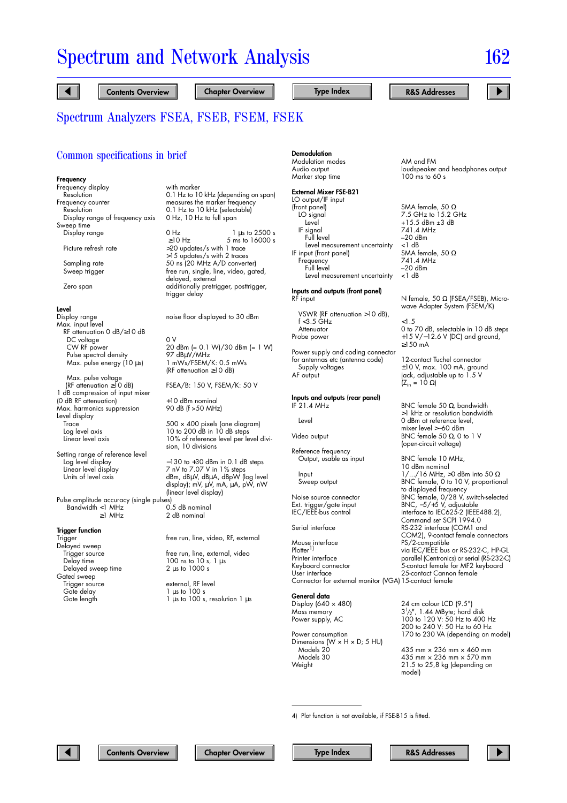#### Common specifications in brief

#### **Frequency**

Frequency display with marker<br>Resolution 0.1 Hz to 10 Frequency counter measures the marker frequency<br>Resolution measures the marker selectable Display range of frequency axis Sweep time

**Level**<br>Display range Max. input level RF attenuation 0 dB/≥10 dB DC voltage 0 V<br>CW RF power 20 Pulse spectral density<br>Max. pulse energy (10 µs)

Max. pulse voltage<br>(RF attenuation  $\geq 10$  dB) 1 dB compression of input mixer (0 dB RF attenuation) +10 dBm nominal Max. harmonics suppression Level display Trace 500 × 400 pixels (one diagram)<br>
Log level axis 10 to 200 dB in 10 dB steps Log level axis 10 to 200 dB in 10 dB steps<br>Linear level axis 10% of reference level per le

Setting range of reference level Linear level display 7 nV to 7.07 V in 1% steps<br>Units of level axis dBm, dBµV, dBµA, dBpW (k

Pulse amplitude accuracy (single pulses)  $\begin{array}{rcl} \texttt{Bandwidth} < & 1 \texttt{ MHz} \\ \texttt{21 MHz} \end{array}$ 

#### **Trigger function**

Trigger **free run, line, video, RF, external** Delayed sweep<br>Trigger source Delayed sweep time Gated sweep<br>Trigger source Trigger source external, RF level<br>Gate delay external, RF level Gate delay 1 µs to 100 s<br>Gate length 1 µs to 100 s,

0.1 Hz to 10 kHz (depending on span) 0.1 Hz to 10 kHz (selectable)<br>0 Hz, 10 Hz to full span

Display range 0 Hz 1 µs to 2500 s<br>≥10 Hz 5 ms to 16000 s  $210 \text{ Hz}$  5 ms to 16000 s<br>Picture refresh rate  $>20$  updates/s with 1 trace >20 updates/s with 1 trace >15 updates/s with 2 traces Sampling rate 50 ns (20 MHz A/D converter) Sweep trigger free run, single, line, video, gated, delayed, external Zero span and additionally pretrigger, posttrigger, trigger delay

noise floor displayed to 30 dBm

20 dBm (= 0.1 W)/30 dBm (= 1 W)<br>97 dBuV/MHz 1 mWs/FSEM/K: 0.5 mWs (RF attenuation ≥10 dB)

FSEA/B: 150 V, FSEM/K: 50 V

10% of reference level per level division, 10 divisions

Log level display −130 to +30 dBm in 0.1 dB steps<br>Linear level display 7 nV to 7.07 V in 1% steps dBm, dBµV, dBµA, dBpW (log level display); mV, uV, mA, uA, pW, nW (linear level display)

2 dB nominal

Trigger source free run, line, external, video<br>Delay time 100 ns to 10 s, 1 µs  $100$  ns to  $10$  s,  $1 \mu s$ <br>2  $\mu s$  to  $1000 s$ 

 $1 \mu s$  to 100 s, resolution 1  $\mu s$ 

#### **Demodulation**

Modulation modes AM and FM Marker stop time

#### **External Mixer FSE-B21**

LO output/IF input<br>(front panel) (front panel) SMA female, 50 Ω<br>LO signal 5.2 GHz to 15.2 G LO signal 7.5 GHz to 15.2 GHz IF signal<br>Full level Level measurement uncertainty  $\lt$  1 dB<br>put (front panel) SMA female, 50  $\Omega$ IF input (front panel) SMA female<br>Frequency 741 4 MHz Frequency<br>Full level Level measurement uncertainty

#### **Inputs and outputs (front panel)**  $RF$  input  $N$  female, 50  $\Omega$  (FSEA/FSEB), Micro-

VSWR (RF attenuation >10 dB),  $f < 3.5$  GHz  $< 1.5$ 

Power supply and coding connector for antennas etc (antenna code) 12-contact Tuchel connector Supply voltages ±10 V, max. 100 mA, ground

# **Inputs and outputs (rear panel)**

Reference frequency Output, usable as input BNC female 10 MHz,

Mouse interface entity of the PS/2-compatible<br>Plotter<sup>1)</sup> wia IEC/IEEE bus Plotter<sup>1)</sup> via IEC/IEEE bus or RS-232-C, HP-GL<br>Printer interface parallel (Centronics) or serial IRS-232-C Printer interface parallel (Centronics) or serial (RS-232-C) Keyboard connector 5-contact female for MF2 keyboard Connector for external monitor (VGA)15-contact female

## **General data**<br>Display (640 × 480)

Mass memory<br>Power supply, AC

Power consumption 170 to 230 VA (depending on model) Dimensions ( $\dot{W} \times H \times D$ ; 5 HU) Models 20 435 mm × 236 mm × 460 mm Models 30 435 mm × 236 mm × 570 mm

Audio output loudspeaker and headphones output<br>Marker stop time lower to 100 ms to 60 s

+15.5 dBm ±3 dB<br>741.4 MHz –20 dBm<br><1 dB –20 dBm<br><1 dB

wave Adapter System (FSEM/K)

Attenuator 0 to 70 dB, selectable in 10 dB steps +15 V/−12.6 V (DC) and ground, ≥150 mA

> jack, adjustable up to  $1.5$  V  $(Z_{\text{in}} = 10 \Omega)$

BNC female 50  $Ω$ , bandwidth >1 kHz or resolution bandwidth Level 0 dBm at reference level, mixer level >−60 dBm Video output BNC female 50  $\Omega$ , 0 to 1 V (open-circuit voltage)

10 dBm nominal Input  $1/$ .../16 MHz, >0 dBm into 50  $\Omega$ Sweep output BNC female, 0 to 10 V, proportional to displayed frequency Noise source connector BNC female, 0/28 V, switch-selected<br>
Ext. trigger/gate input BNC, -5/+5 V, adjustable Ext. trigger/gate input BNC, −5/+5 V, adjustable<br>IEC/IEEE-bus control interface to IEC625-2 (IEEE interface to IEC625-2 (IEEE488.2), Command set SCPI 1994.0 Serial interface RS-232 interface (COM1 and COM2), 9-contact female connectors 25-contact Cannon female

24 cm colour LCD (9.5")

 $3\frac{1}{2}$ ", 1.44 MByte; hard disk 100 to 120 V: 50 Hz to 400 Hz 200 to 240 V: 50 Hz to 60 Hz

 $21.5$  to  $25.8$  kg (depending on

model)